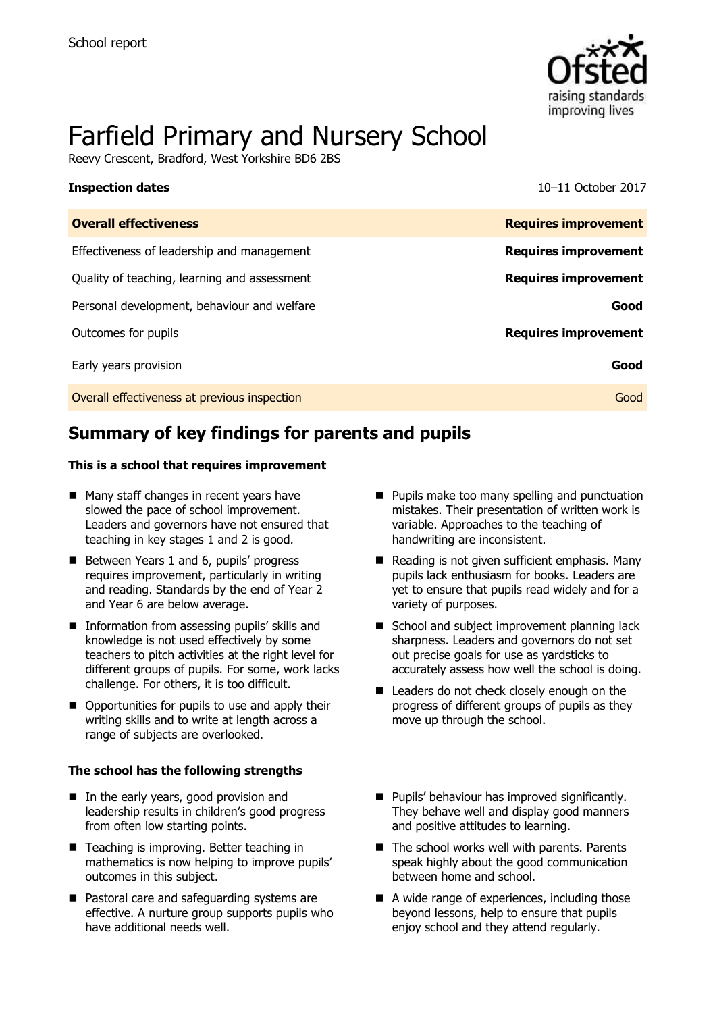

# Farfield Primary and Nursery School

Reevy Crescent, Bradford, West Yorkshire BD6 2BS

**Inspection dates** 10–11 October 2017

| <b>Overall effectiveness</b>                 | <b>Requires improvement</b> |
|----------------------------------------------|-----------------------------|
| Effectiveness of leadership and management   | <b>Requires improvement</b> |
| Quality of teaching, learning and assessment | <b>Requires improvement</b> |
| Personal development, behaviour and welfare  | Good                        |
| Outcomes for pupils                          | <b>Requires improvement</b> |
| Early years provision                        | Good                        |
| Overall effectiveness at previous inspection | Good                        |

# **Summary of key findings for parents and pupils**

### **This is a school that requires improvement**

- Many staff changes in recent years have slowed the pace of school improvement. Leaders and governors have not ensured that teaching in key stages 1 and 2 is good.
- Between Years 1 and 6, pupils' progress requires improvement, particularly in writing and reading. Standards by the end of Year 2 and Year 6 are below average.
- **Information from assessing pupils' skills and** knowledge is not used effectively by some teachers to pitch activities at the right level for different groups of pupils. For some, work lacks challenge. For others, it is too difficult.
- Opportunities for pupils to use and apply their writing skills and to write at length across a range of subjects are overlooked.

### **The school has the following strengths**

- In the early years, good provision and leadership results in children's good progress from often low starting points.
- Teaching is improving. Better teaching in mathematics is now helping to improve pupils' outcomes in this subject.
- Pastoral care and safeguarding systems are effective. A nurture group supports pupils who have additional needs well.
- **Pupils make too many spelling and punctuation** mistakes. Their presentation of written work is variable. Approaches to the teaching of handwriting are inconsistent.
- Reading is not given sufficient emphasis. Many pupils lack enthusiasm for books. Leaders are yet to ensure that pupils read widely and for a variety of purposes.
- School and subject improvement planning lack sharpness. Leaders and governors do not set out precise goals for use as yardsticks to accurately assess how well the school is doing.
- Leaders do not check closely enough on the progress of different groups of pupils as they move up through the school.
- **Pupils' behaviour has improved significantly.** They behave well and display good manners and positive attitudes to learning.
- $\blacksquare$  The school works well with parents. Parents speak highly about the good communication between home and school.
- A wide range of experiences, including those beyond lessons, help to ensure that pupils enjoy school and they attend regularly.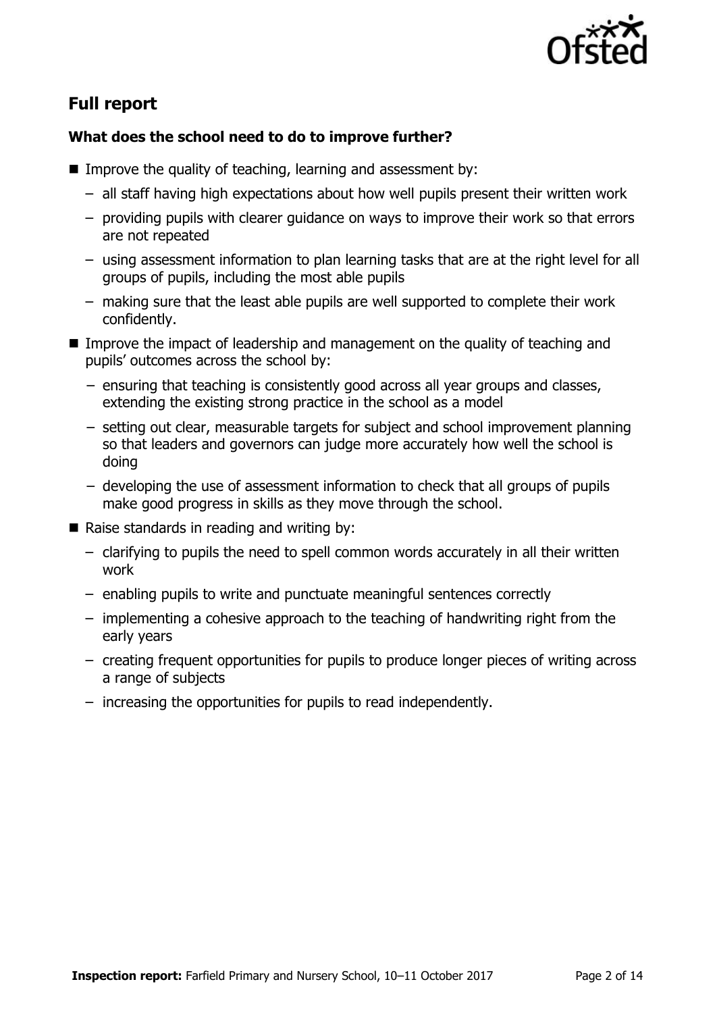

# **Full report**

### **What does the school need to do to improve further?**

- Improve the quality of teaching, learning and assessment by:
	- all staff having high expectations about how well pupils present their written work
	- providing pupils with clearer guidance on ways to improve their work so that errors are not repeated
	- using assessment information to plan learning tasks that are at the right level for all groups of pupils, including the most able pupils
	- making sure that the least able pupils are well supported to complete their work confidently.
- Improve the impact of leadership and management on the quality of teaching and pupils' outcomes across the school by:
	- − ensuring that teaching is consistently good across all year groups and classes, extending the existing strong practice in the school as a model
	- − setting out clear, measurable targets for subject and school improvement planning so that leaders and governors can judge more accurately how well the school is doing
	- − developing the use of assessment information to check that all groups of pupils make good progress in skills as they move through the school.
- Raise standards in reading and writing by:
	- clarifying to pupils the need to spell common words accurately in all their written work
	- enabling pupils to write and punctuate meaningful sentences correctly
	- implementing a cohesive approach to the teaching of handwriting right from the early years
	- creating frequent opportunities for pupils to produce longer pieces of writing across a range of subjects
	- increasing the opportunities for pupils to read independently.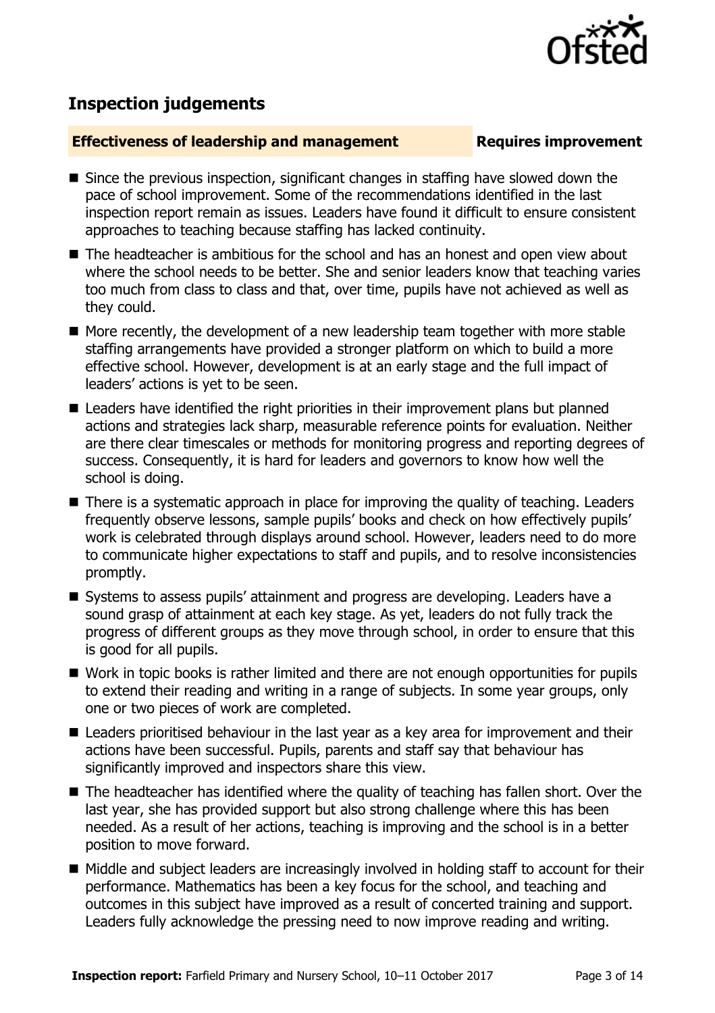

# **Inspection judgements**

### **Effectiveness of leadership and management Requires improvement**

- Since the previous inspection, significant changes in staffing have slowed down the pace of school improvement. Some of the recommendations identified in the last inspection report remain as issues. Leaders have found it difficult to ensure consistent approaches to teaching because staffing has lacked continuity.
- The headteacher is ambitious for the school and has an honest and open view about where the school needs to be better. She and senior leaders know that teaching varies too much from class to class and that, over time, pupils have not achieved as well as they could.
- More recently, the development of a new leadership team together with more stable staffing arrangements have provided a stronger platform on which to build a more effective school. However, development is at an early stage and the full impact of leaders' actions is yet to be seen.
- Leaders have identified the right priorities in their improvement plans but planned actions and strategies lack sharp, measurable reference points for evaluation. Neither are there clear timescales or methods for monitoring progress and reporting degrees of success. Consequently, it is hard for leaders and governors to know how well the school is doing.
- There is a systematic approach in place for improving the quality of teaching. Leaders frequently observe lessons, sample pupils' books and check on how effectively pupils' work is celebrated through displays around school. However, leaders need to do more to communicate higher expectations to staff and pupils, and to resolve inconsistencies promptly.
- Systems to assess pupils' attainment and progress are developing. Leaders have a sound grasp of attainment at each key stage. As yet, leaders do not fully track the progress of different groups as they move through school, in order to ensure that this is good for all pupils.
- Work in topic books is rather limited and there are not enough opportunities for pupils to extend their reading and writing in a range of subjects. In some year groups, only one or two pieces of work are completed.
- Leaders prioritised behaviour in the last year as a key area for improvement and their actions have been successful. Pupils, parents and staff say that behaviour has significantly improved and inspectors share this view.
- The headteacher has identified where the quality of teaching has fallen short. Over the last year, she has provided support but also strong challenge where this has been needed. As a result of her actions, teaching is improving and the school is in a better position to move forward.
- Middle and subject leaders are increasingly involved in holding staff to account for their performance. Mathematics has been a key focus for the school, and teaching and outcomes in this subject have improved as a result of concerted training and support. Leaders fully acknowledge the pressing need to now improve reading and writing.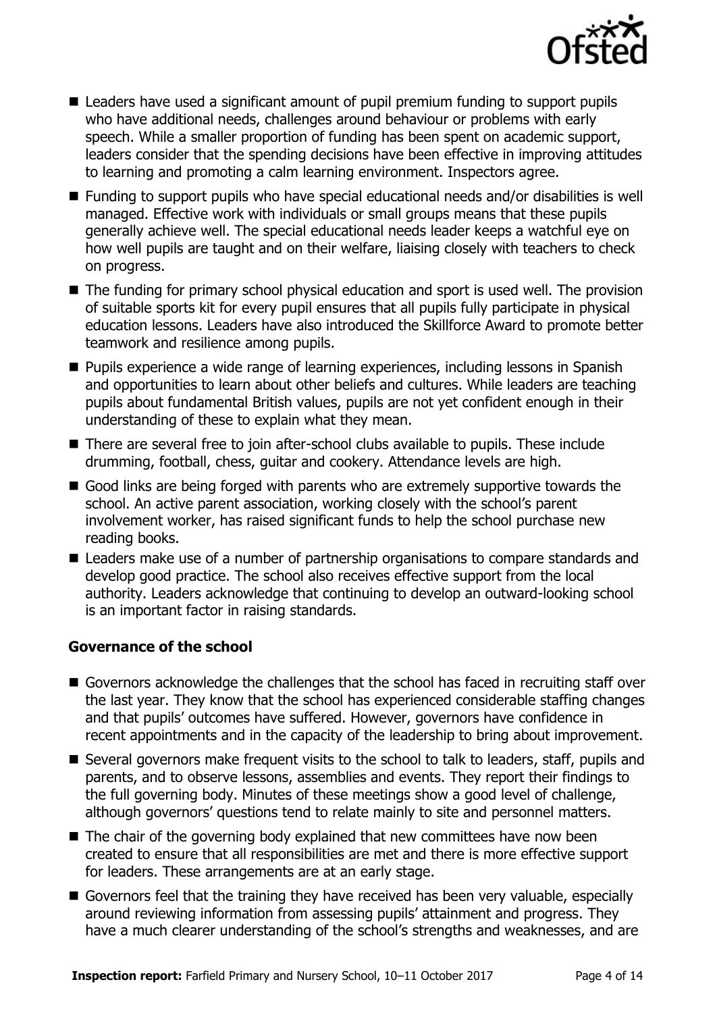

- Leaders have used a significant amount of pupil premium funding to support pupils who have additional needs, challenges around behaviour or problems with early speech. While a smaller proportion of funding has been spent on academic support, leaders consider that the spending decisions have been effective in improving attitudes to learning and promoting a calm learning environment. Inspectors agree.
- Funding to support pupils who have special educational needs and/or disabilities is well managed. Effective work with individuals or small groups means that these pupils generally achieve well. The special educational needs leader keeps a watchful eye on how well pupils are taught and on their welfare, liaising closely with teachers to check on progress.
- The funding for primary school physical education and sport is used well. The provision of suitable sports kit for every pupil ensures that all pupils fully participate in physical education lessons. Leaders have also introduced the Skillforce Award to promote better teamwork and resilience among pupils.
- **Pupils experience a wide range of learning experiences, including lessons in Spanish** and opportunities to learn about other beliefs and cultures. While leaders are teaching pupils about fundamental British values, pupils are not yet confident enough in their understanding of these to explain what they mean.
- There are several free to join after-school clubs available to pupils. These include drumming, football, chess, guitar and cookery. Attendance levels are high.
- Good links are being forged with parents who are extremely supportive towards the school. An active parent association, working closely with the school's parent involvement worker, has raised significant funds to help the school purchase new reading books.
- Leaders make use of a number of partnership organisations to compare standards and develop good practice. The school also receives effective support from the local authority. Leaders acknowledge that continuing to develop an outward-looking school is an important factor in raising standards.

### **Governance of the school**

- Governors acknowledge the challenges that the school has faced in recruiting staff over the last year. They know that the school has experienced considerable staffing changes and that pupils' outcomes have suffered. However, governors have confidence in recent appointments and in the capacity of the leadership to bring about improvement.
- Several governors make frequent visits to the school to talk to leaders, staff, pupils and parents, and to observe lessons, assemblies and events. They report their findings to the full governing body. Minutes of these meetings show a good level of challenge, although governors' questions tend to relate mainly to site and personnel matters.
- The chair of the governing body explained that new committees have now been created to ensure that all responsibilities are met and there is more effective support for leaders. These arrangements are at an early stage.
- Governors feel that the training they have received has been very valuable, especially around reviewing information from assessing pupils' attainment and progress. They have a much clearer understanding of the school's strengths and weaknesses, and are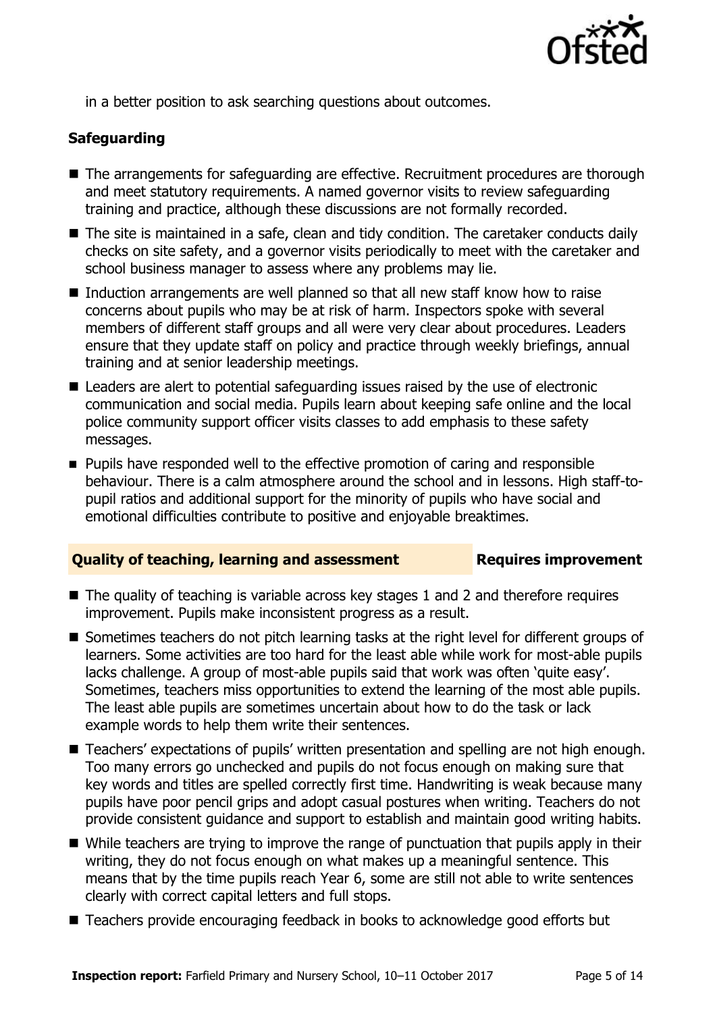

in a better position to ask searching questions about outcomes.

### **Safeguarding**

- The arrangements for safeguarding are effective. Recruitment procedures are thorough and meet statutory requirements. A named governor visits to review safeguarding training and practice, although these discussions are not formally recorded.
- The site is maintained in a safe, clean and tidy condition. The caretaker conducts daily checks on site safety, and a governor visits periodically to meet with the caretaker and school business manager to assess where any problems may lie.
- Induction arrangements are well planned so that all new staff know how to raise concerns about pupils who may be at risk of harm. Inspectors spoke with several members of different staff groups and all were very clear about procedures. Leaders ensure that they update staff on policy and practice through weekly briefings, annual training and at senior leadership meetings.
- Leaders are alert to potential safeguarding issues raised by the use of electronic communication and social media. Pupils learn about keeping safe online and the local police community support officer visits classes to add emphasis to these safety messages.
- **Pupils have responded well to the effective promotion of caring and responsible** behaviour. There is a calm atmosphere around the school and in lessons. High staff-topupil ratios and additional support for the minority of pupils who have social and emotional difficulties contribute to positive and enjoyable breaktimes.

### **Quality of teaching, learning and assessment Figures improvement**

- $\blacksquare$  The quality of teaching is variable across key stages 1 and 2 and therefore requires improvement. Pupils make inconsistent progress as a result.
- Sometimes teachers do not pitch learning tasks at the right level for different groups of learners. Some activities are too hard for the least able while work for most-able pupils lacks challenge. A group of most-able pupils said that work was often 'quite easy'. Sometimes, teachers miss opportunities to extend the learning of the most able pupils. The least able pupils are sometimes uncertain about how to do the task or lack example words to help them write their sentences.
- Teachers' expectations of pupils' written presentation and spelling are not high enough. Too many errors go unchecked and pupils do not focus enough on making sure that key words and titles are spelled correctly first time. Handwriting is weak because many pupils have poor pencil grips and adopt casual postures when writing. Teachers do not provide consistent guidance and support to establish and maintain good writing habits.
- While teachers are trying to improve the range of punctuation that pupils apply in their writing, they do not focus enough on what makes up a meaningful sentence. This means that by the time pupils reach Year 6, some are still not able to write sentences clearly with correct capital letters and full stops.
- Teachers provide encouraging feedback in books to acknowledge good efforts but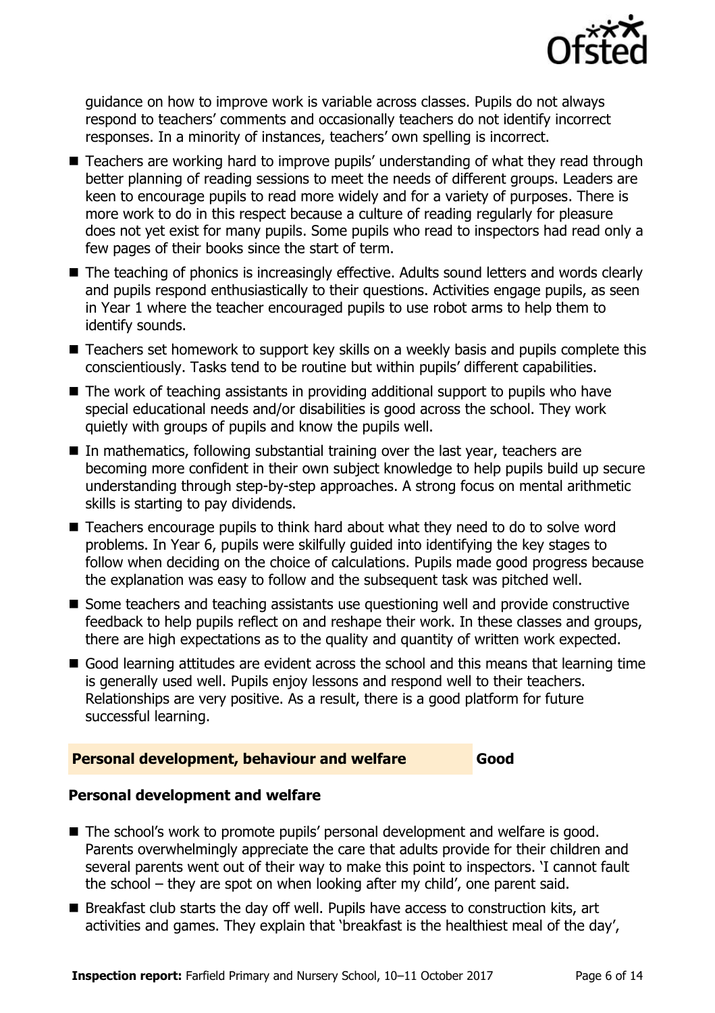

guidance on how to improve work is variable across classes. Pupils do not always respond to teachers' comments and occasionally teachers do not identify incorrect responses. In a minority of instances, teachers' own spelling is incorrect.

- Teachers are working hard to improve pupils' understanding of what they read through better planning of reading sessions to meet the needs of different groups. Leaders are keen to encourage pupils to read more widely and for a variety of purposes. There is more work to do in this respect because a culture of reading regularly for pleasure does not yet exist for many pupils. Some pupils who read to inspectors had read only a few pages of their books since the start of term.
- The teaching of phonics is increasingly effective. Adults sound letters and words clearly and pupils respond enthusiastically to their questions. Activities engage pupils, as seen in Year 1 where the teacher encouraged pupils to use robot arms to help them to identify sounds.
- Teachers set homework to support key skills on a weekly basis and pupils complete this conscientiously. Tasks tend to be routine but within pupils' different capabilities.
- The work of teaching assistants in providing additional support to pupils who have special educational needs and/or disabilities is good across the school. They work quietly with groups of pupils and know the pupils well.
- In mathematics, following substantial training over the last year, teachers are becoming more confident in their own subject knowledge to help pupils build up secure understanding through step-by-step approaches. A strong focus on mental arithmetic skills is starting to pay dividends.
- Teachers encourage pupils to think hard about what they need to do to solve word problems. In Year 6, pupils were skilfully guided into identifying the key stages to follow when deciding on the choice of calculations. Pupils made good progress because the explanation was easy to follow and the subsequent task was pitched well.
- Some teachers and teaching assistants use questioning well and provide constructive feedback to help pupils reflect on and reshape their work. In these classes and groups, there are high expectations as to the quality and quantity of written work expected.
- Good learning attitudes are evident across the school and this means that learning time is generally used well. Pupils enjoy lessons and respond well to their teachers. Relationships are very positive. As a result, there is a good platform for future successful learning.

### **Personal development, behaviour and welfare Good**

### **Personal development and welfare**

- The school's work to promote pupils' personal development and welfare is good. Parents overwhelmingly appreciate the care that adults provide for their children and several parents went out of their way to make this point to inspectors. 'I cannot fault the school – they are spot on when looking after my child', one parent said.
- Breakfast club starts the day off well. Pupils have access to construction kits, art activities and games. They explain that 'breakfast is the healthiest meal of the day',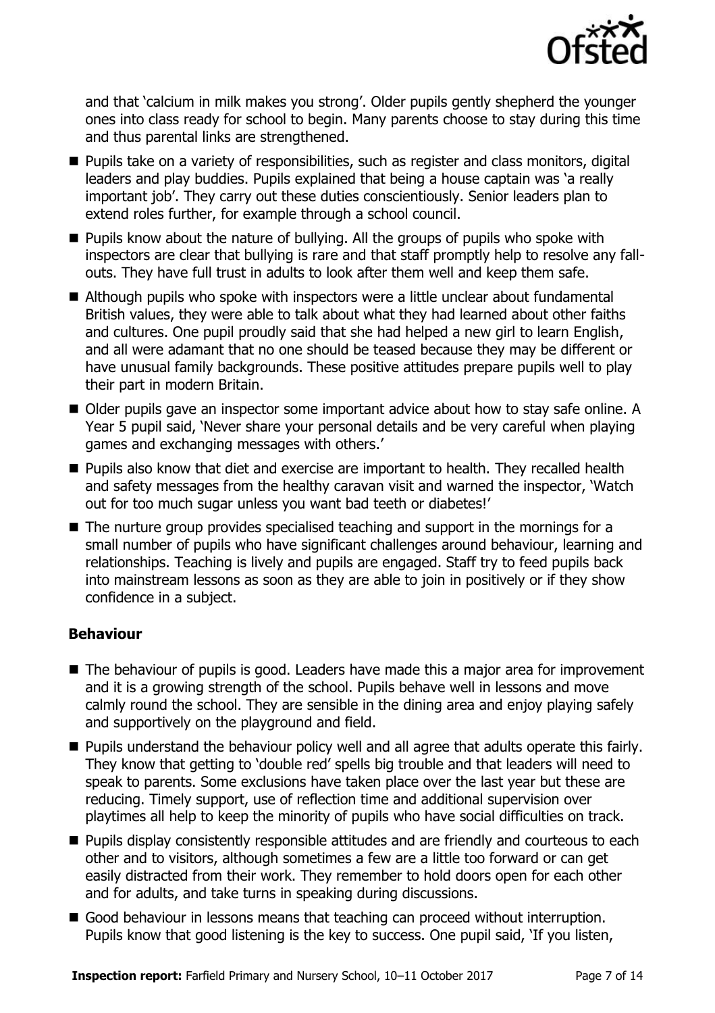

and that 'calcium in milk makes you strong'. Older pupils gently shepherd the younger ones into class ready for school to begin. Many parents choose to stay during this time and thus parental links are strengthened.

- **Pupils take on a variety of responsibilities, such as register and class monitors, digital** leaders and play buddies. Pupils explained that being a house captain was 'a really important job'. They carry out these duties conscientiously. Senior leaders plan to extend roles further, for example through a school council.
- **Pupils know about the nature of bullying. All the groups of pupils who spoke with** inspectors are clear that bullying is rare and that staff promptly help to resolve any fallouts. They have full trust in adults to look after them well and keep them safe.
- Although pupils who spoke with inspectors were a little unclear about fundamental British values, they were able to talk about what they had learned about other faiths and cultures. One pupil proudly said that she had helped a new girl to learn English, and all were adamant that no one should be teased because they may be different or have unusual family backgrounds. These positive attitudes prepare pupils well to play their part in modern Britain.
- Older pupils gave an inspector some important advice about how to stay safe online. A Year 5 pupil said, 'Never share your personal details and be very careful when playing games and exchanging messages with others.'
- **Pupils also know that diet and exercise are important to health. They recalled health** and safety messages from the healthy caravan visit and warned the inspector, 'Watch out for too much sugar unless you want bad teeth or diabetes!'
- The nurture group provides specialised teaching and support in the mornings for a small number of pupils who have significant challenges around behaviour, learning and relationships. Teaching is lively and pupils are engaged. Staff try to feed pupils back into mainstream lessons as soon as they are able to join in positively or if they show confidence in a subject.

### **Behaviour**

- The behaviour of pupils is good. Leaders have made this a major area for improvement and it is a growing strength of the school. Pupils behave well in lessons and move calmly round the school. They are sensible in the dining area and enjoy playing safely and supportively on the playground and field.
- **Pupils understand the behaviour policy well and all agree that adults operate this fairly.** They know that getting to 'double red' spells big trouble and that leaders will need to speak to parents. Some exclusions have taken place over the last year but these are reducing. Timely support, use of reflection time and additional supervision over playtimes all help to keep the minority of pupils who have social difficulties on track.
- **Pupils display consistently responsible attitudes and are friendly and courteous to each** other and to visitors, although sometimes a few are a little too forward or can get easily distracted from their work. They remember to hold doors open for each other and for adults, and take turns in speaking during discussions.
- Good behaviour in lessons means that teaching can proceed without interruption. Pupils know that good listening is the key to success. One pupil said, 'If you listen,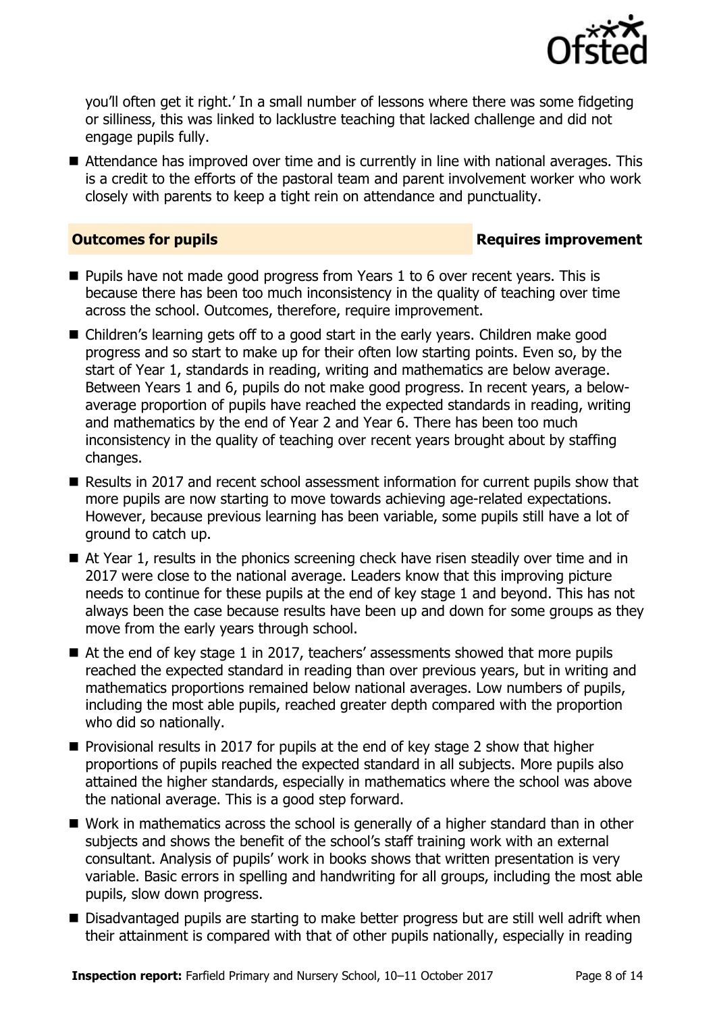

you'll often get it right.' In a small number of lessons where there was some fidgeting or silliness, this was linked to lacklustre teaching that lacked challenge and did not engage pupils fully.

Attendance has improved over time and is currently in line with national averages. This is a credit to the efforts of the pastoral team and parent involvement worker who work closely with parents to keep a tight rein on attendance and punctuality.

### **Outcomes for pupils Requires improvement**

- **Pupils have not made good progress from Years 1 to 6 over recent vears. This is** because there has been too much inconsistency in the quality of teaching over time across the school. Outcomes, therefore, require improvement.
- Children's learning gets off to a good start in the early years. Children make good progress and so start to make up for their often low starting points. Even so, by the start of Year 1, standards in reading, writing and mathematics are below average. Between Years 1 and 6, pupils do not make good progress. In recent years, a belowaverage proportion of pupils have reached the expected standards in reading, writing and mathematics by the end of Year 2 and Year 6. There has been too much inconsistency in the quality of teaching over recent years brought about by staffing changes.
- Results in 2017 and recent school assessment information for current pupils show that more pupils are now starting to move towards achieving age-related expectations. However, because previous learning has been variable, some pupils still have a lot of ground to catch up.
- At Year 1, results in the phonics screening check have risen steadily over time and in 2017 were close to the national average. Leaders know that this improving picture needs to continue for these pupils at the end of key stage 1 and beyond. This has not always been the case because results have been up and down for some groups as they move from the early years through school.
- $\blacksquare$  At the end of key stage 1 in 2017, teachers' assessments showed that more pupils reached the expected standard in reading than over previous years, but in writing and mathematics proportions remained below national averages. Low numbers of pupils, including the most able pupils, reached greater depth compared with the proportion who did so nationally.
- **Provisional results in 2017 for pupils at the end of key stage 2 show that higher** proportions of pupils reached the expected standard in all subjects. More pupils also attained the higher standards, especially in mathematics where the school was above the national average. This is a good step forward.
- Work in mathematics across the school is generally of a higher standard than in other subjects and shows the benefit of the school's staff training work with an external consultant. Analysis of pupils' work in books shows that written presentation is very variable. Basic errors in spelling and handwriting for all groups, including the most able pupils, slow down progress.
- Disadvantaged pupils are starting to make better progress but are still well adrift when their attainment is compared with that of other pupils nationally, especially in reading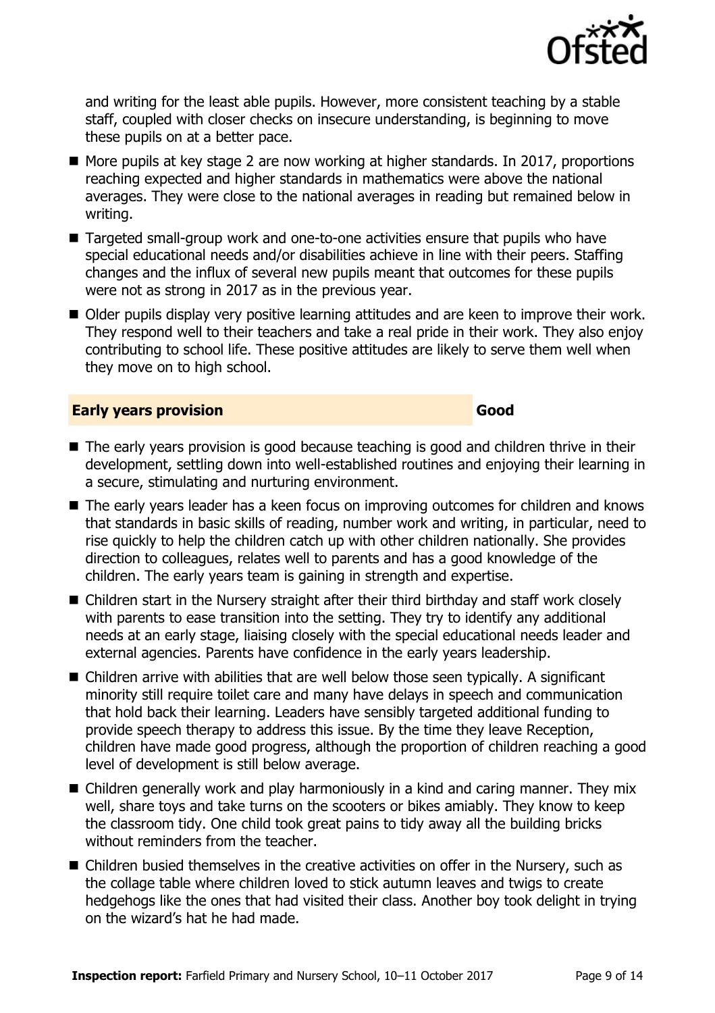

and writing for the least able pupils. However, more consistent teaching by a stable staff, coupled with closer checks on insecure understanding, is beginning to move these pupils on at a better pace.

- More pupils at key stage 2 are now working at higher standards. In 2017, proportions reaching expected and higher standards in mathematics were above the national averages. They were close to the national averages in reading but remained below in writing.
- Targeted small-group work and one-to-one activities ensure that pupils who have special educational needs and/or disabilities achieve in line with their peers. Staffing changes and the influx of several new pupils meant that outcomes for these pupils were not as strong in 2017 as in the previous year.
- Older pupils display very positive learning attitudes and are keen to improve their work. They respond well to their teachers and take a real pride in their work. They also enjoy contributing to school life. These positive attitudes are likely to serve them well when they move on to high school.

### **Early years provision Good Good**

- The early years provision is good because teaching is good and children thrive in their development, settling down into well-established routines and enjoying their learning in a secure, stimulating and nurturing environment.
- The early years leader has a keen focus on improving outcomes for children and knows that standards in basic skills of reading, number work and writing, in particular, need to rise quickly to help the children catch up with other children nationally. She provides direction to colleagues, relates well to parents and has a good knowledge of the children. The early years team is gaining in strength and expertise.
- Children start in the Nursery straight after their third birthday and staff work closely with parents to ease transition into the setting. They try to identify any additional needs at an early stage, liaising closely with the special educational needs leader and external agencies. Parents have confidence in the early years leadership.
- Children arrive with abilities that are well below those seen typically. A significant minority still require toilet care and many have delays in speech and communication that hold back their learning. Leaders have sensibly targeted additional funding to provide speech therapy to address this issue. By the time they leave Reception, children have made good progress, although the proportion of children reaching a good level of development is still below average.
- Children generally work and play harmoniously in a kind and caring manner. They mix well, share toys and take turns on the scooters or bikes amiably. They know to keep the classroom tidy. One child took great pains to tidy away all the building bricks without reminders from the teacher.
- Children busied themselves in the creative activities on offer in the Nursery, such as the collage table where children loved to stick autumn leaves and twigs to create hedgehogs like the ones that had visited their class. Another boy took delight in trying on the wizard's hat he had made.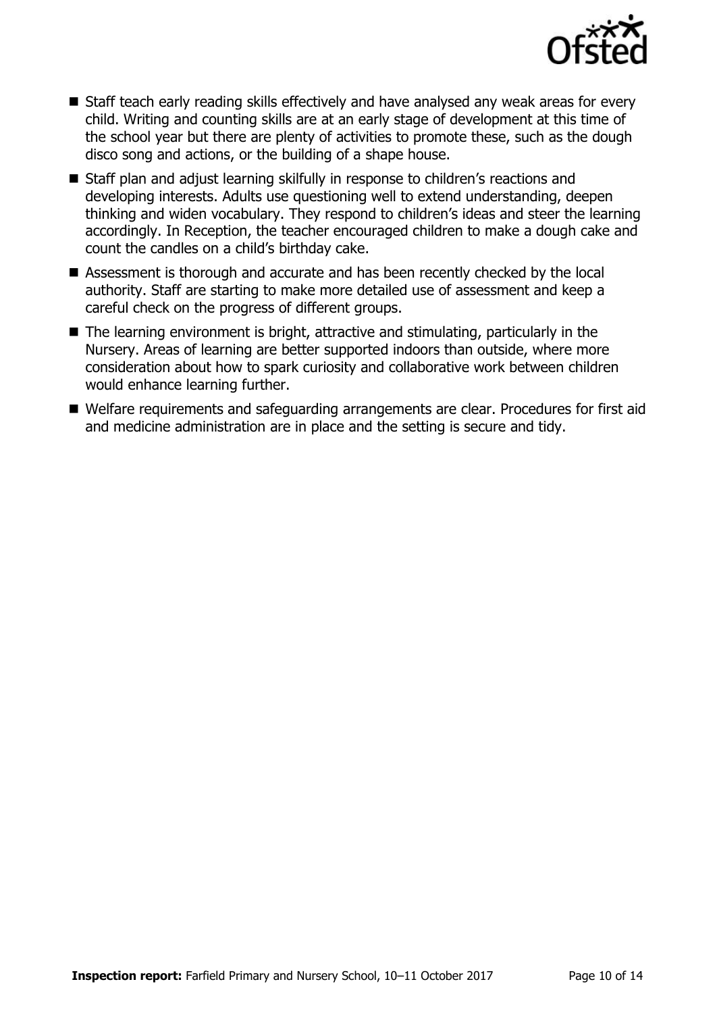

- Staff teach early reading skills effectively and have analysed any weak areas for every child. Writing and counting skills are at an early stage of development at this time of the school year but there are plenty of activities to promote these, such as the dough disco song and actions, or the building of a shape house.
- Staff plan and adjust learning skilfully in response to children's reactions and developing interests. Adults use questioning well to extend understanding, deepen thinking and widen vocabulary. They respond to children's ideas and steer the learning accordingly. In Reception, the teacher encouraged children to make a dough cake and count the candles on a child's birthday cake.
- Assessment is thorough and accurate and has been recently checked by the local authority. Staff are starting to make more detailed use of assessment and keep a careful check on the progress of different groups.
- The learning environment is bright, attractive and stimulating, particularly in the Nursery. Areas of learning are better supported indoors than outside, where more consideration about how to spark curiosity and collaborative work between children would enhance learning further.
- Welfare requirements and safeguarding arrangements are clear. Procedures for first aid and medicine administration are in place and the setting is secure and tidy.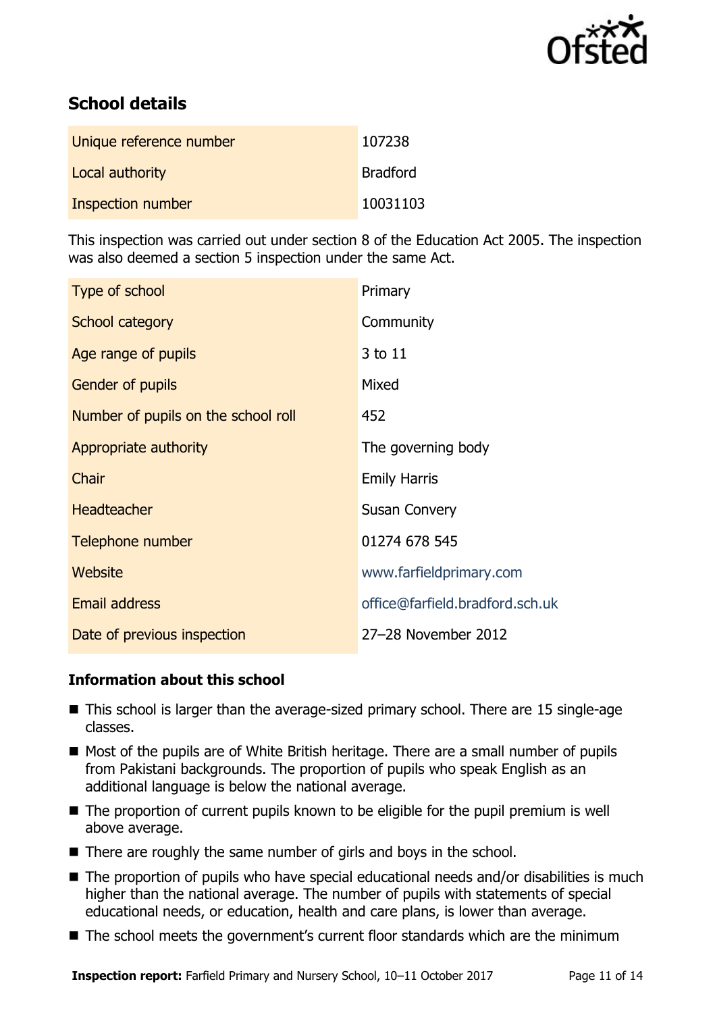

# **School details**

| Unique reference number | 107238          |
|-------------------------|-----------------|
| Local authority         | <b>Bradford</b> |
| Inspection number       | 10031103        |

This inspection was carried out under section 8 of the Education Act 2005. The inspection was also deemed a section 5 inspection under the same Act.

| Type of school                      | Primary                         |
|-------------------------------------|---------------------------------|
| School category                     | Community                       |
| Age range of pupils                 | 3 to 11                         |
| <b>Gender of pupils</b>             | Mixed                           |
| Number of pupils on the school roll | 452                             |
| Appropriate authority               | The governing body              |
| Chair                               | <b>Emily Harris</b>             |
| <b>Headteacher</b>                  | <b>Susan Convery</b>            |
| Telephone number                    | 01274 678 545                   |
| Website                             | www.farfieldprimary.com         |
| <b>Email address</b>                | office@farfield.bradford.sch.uk |
| Date of previous inspection         | 27-28 November 2012             |

### **Information about this school**

- This school is larger than the average-sized primary school. There are 15 single-age classes.
- Most of the pupils are of White British heritage. There are a small number of pupils from Pakistani backgrounds. The proportion of pupils who speak English as an additional language is below the national average.
- The proportion of current pupils known to be eligible for the pupil premium is well above average.
- There are roughly the same number of girls and boys in the school.
- The proportion of pupils who have special educational needs and/or disabilities is much higher than the national average. The number of pupils with statements of special educational needs, or education, health and care plans, is lower than average.
- The school meets the government's current floor standards which are the minimum

**Inspection report:** Farfield Primary and Nursery School, 10–11 October 2017 Page 11 of 14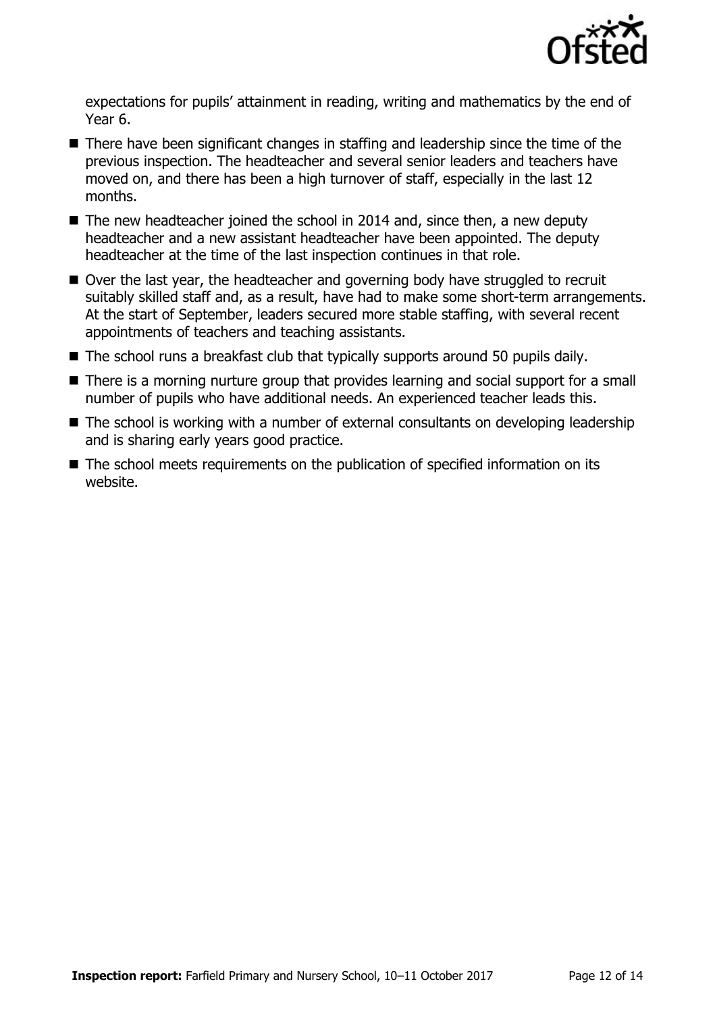

expectations for pupils' attainment in reading, writing and mathematics by the end of Year 6.

- There have been significant changes in staffing and leadership since the time of the previous inspection. The headteacher and several senior leaders and teachers have moved on, and there has been a high turnover of staff, especially in the last 12 months.
- The new headteacher joined the school in 2014 and, since then, a new deputy headteacher and a new assistant headteacher have been appointed. The deputy headteacher at the time of the last inspection continues in that role.
- Over the last year, the headteacher and governing body have struggled to recruit suitably skilled staff and, as a result, have had to make some short-term arrangements. At the start of September, leaders secured more stable staffing, with several recent appointments of teachers and teaching assistants.
- The school runs a breakfast club that typically supports around 50 pupils daily.
- There is a morning nurture group that provides learning and social support for a small number of pupils who have additional needs. An experienced teacher leads this.
- The school is working with a number of external consultants on developing leadership and is sharing early years good practice.
- The school meets requirements on the publication of specified information on its website.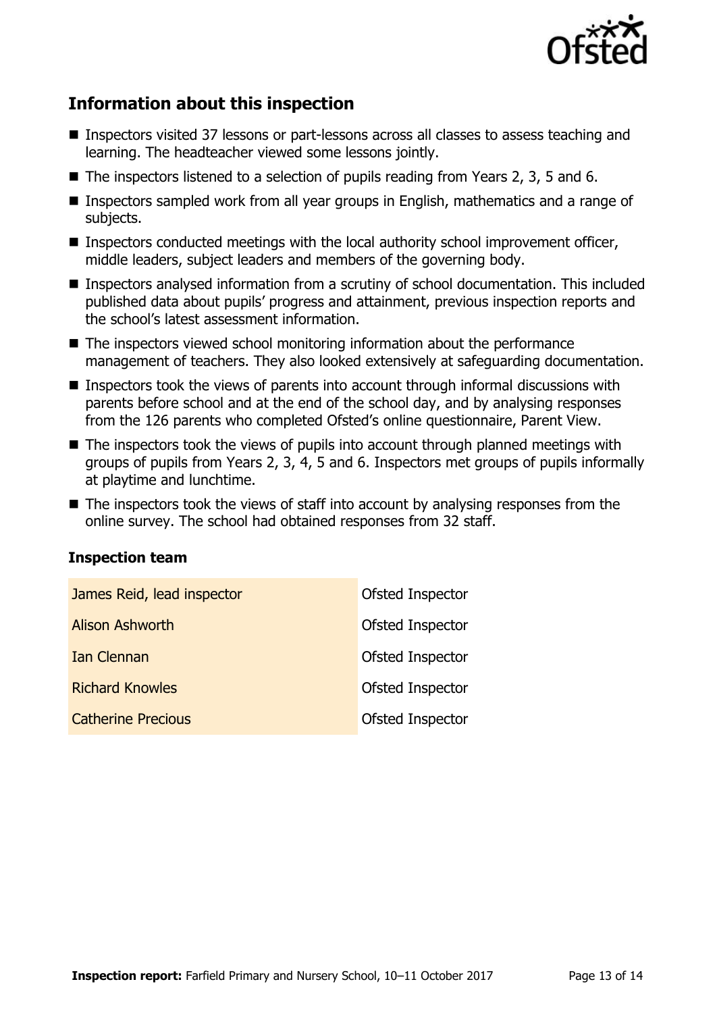

# **Information about this inspection**

- Inspectors visited 37 lessons or part-lessons across all classes to assess teaching and learning. The headteacher viewed some lessons jointly.
- $\blacksquare$  The inspectors listened to a selection of pupils reading from Years 2, 3, 5 and 6.
- Inspectors sampled work from all year groups in English, mathematics and a range of subjects.
- Inspectors conducted meetings with the local authority school improvement officer, middle leaders, subject leaders and members of the governing body.
- Inspectors analysed information from a scrutiny of school documentation. This included published data about pupils' progress and attainment, previous inspection reports and the school's latest assessment information.
- The inspectors viewed school monitoring information about the performance management of teachers. They also looked extensively at safeguarding documentation.
- Inspectors took the views of parents into account through informal discussions with parents before school and at the end of the school day, and by analysing responses from the 126 parents who completed Ofsted's online questionnaire, Parent View.
- The inspectors took the views of pupils into account through planned meetings with groups of pupils from Years 2, 3, 4, 5 and 6. Inspectors met groups of pupils informally at playtime and lunchtime.
- The inspectors took the views of staff into account by analysing responses from the online survey. The school had obtained responses from 32 staff.

### **Inspection team**

| James Reid, lead inspector | Ofsted Inspector |
|----------------------------|------------------|
| <b>Alison Ashworth</b>     | Ofsted Inspector |
| Ian Clennan                | Ofsted Inspector |
| <b>Richard Knowles</b>     | Ofsted Inspector |
| <b>Catherine Precious</b>  | Ofsted Inspector |